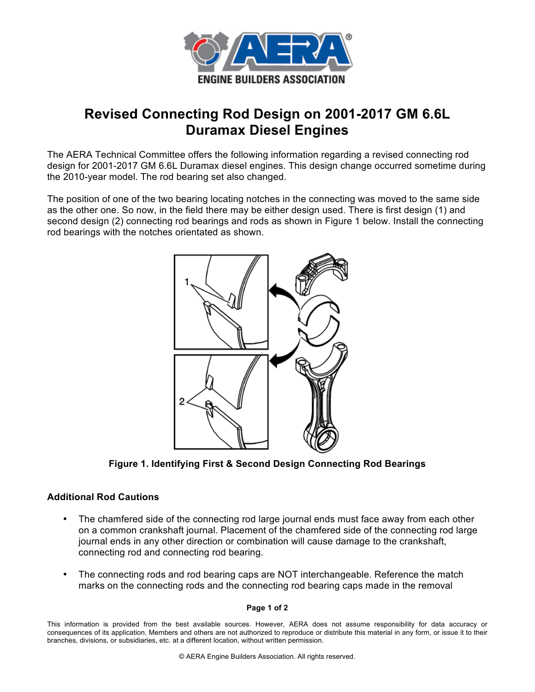

## **Revised Connecting Rod Design on 2001-2017 GM 6.6L Duramax Diesel Engines**

The AERA Technical Committee offers the following information regarding a revised connecting rod design for 2001-2017 GM 6.6L Duramax diesel engines. This design change occurred sometime during the 2010-year model. The rod bearing set also changed.

The position of one of the two bearing locating notches in the connecting was moved to the same side as the other one. So now, in the field there may be either design used. There is first design (1) and second design (2) connecting rod bearings and rods as shown in Figure 1 below. Install the connecting rod bearings with the notches orientated as shown.



**Figure 1. Identifying First & Second Design Connecting Rod Bearings**

## **Additional Rod Cautions**

- The chamfered side of the connecting rod large journal ends must face away from each other on a common crankshaft journal. Placement of the chamfered side of the connecting rod large journal ends in any other direction or combination will cause damage to the crankshaft, connecting rod and connecting rod bearing.
- The connecting rods and rod bearing caps are NOT interchangeable. Reference the match marks on the connecting rods and the connecting rod bearing caps made in the removal

## **Page 1 of 2**

This information is provided from the best available sources. However, AERA does not assume responsibility for data accuracy or consequences of its application. Members and others are not authorized to reproduce or distribute this material in any form, or issue it to their branches, divisions, or subsidiaries, etc. at a different location, without written permission.